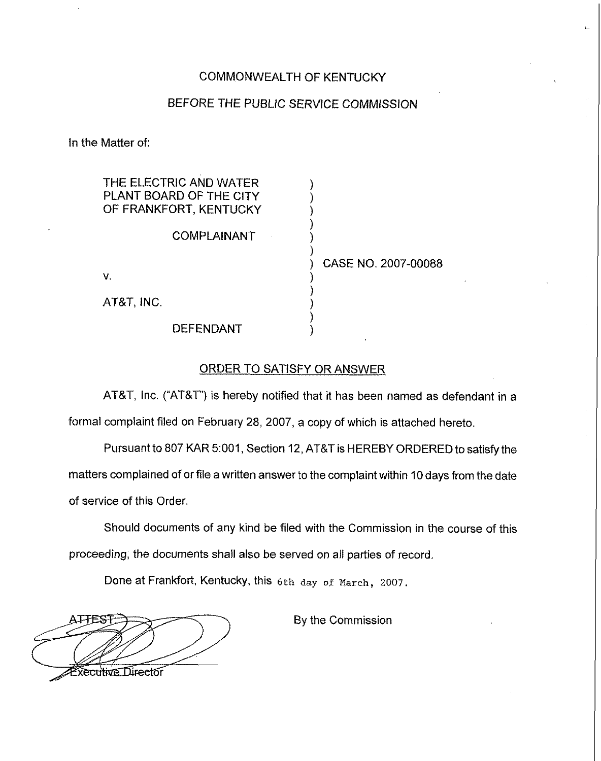# COMMONWEALTH OF KENTUCKY

## BEFORE THE PUBLIC SERVICE COMMISSION

) ) ) ) ) )

) ) ) ) )

In the Matter of:

THE ELECTRIC AND WATER PLANT BOARD OF THE CITY OF FRANKFORT, KENTUCKY

COMPLAINANT

V.

AT8T, INC.

) CASE NO. 2007-00088

DEFENDANT

## ORDER TO SATISFY OR ANSWER

AT8T, Inc. ("AT&T") is hereby notified that it has been named as defendant in a formal complaint filed on February 28, 2007, a copy of which is attached hereto.

Pursuant to 807 KAR 5;001, Section 12, AT8T is HEREBY ORDERED to satisfy the matters complained of or file a written answer to the complaint within 10days from the date of service of this Order,

Should documents of any kind be filed with the Commission in the course of this proceeding, the documents shall also be served on all parties of record.

Done at Frankfort, Kentucky, this 6th day of March, 2007.

**ATTEST** kecultive Director

By the Commission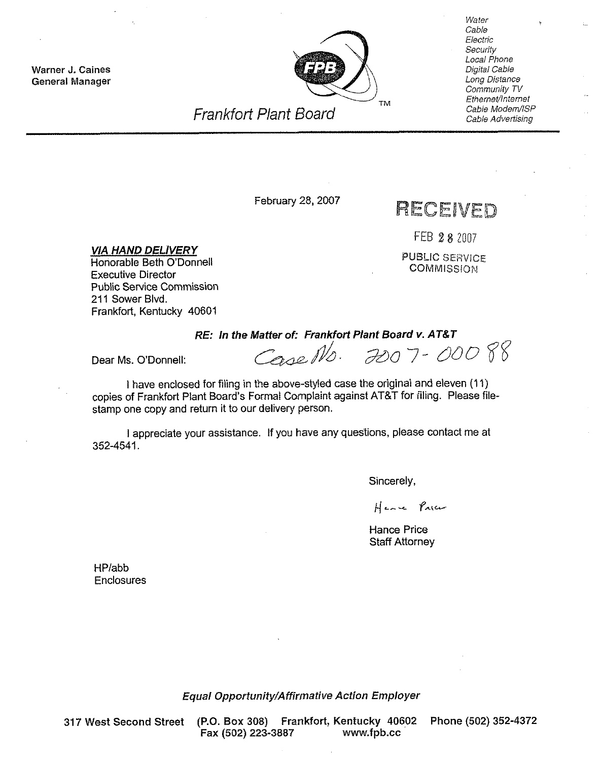Warner J. Caines General Manager



**Water** Cable Electric **Security** Local Phone Digital Cable Long Distance Community TV Ethernet/Internet Cable Modem/ISP Cable Advertising

# Frankfort PIant Board

# February 28, 2007 **RECEIVED**

FEB 28 2007

PUBLIC SERVICE **COMMISSION** 

VIA HAND DELIVERY Honorable Beth O'Donnell Executive Director Public Service Commission 211 Sower Blvd. Frankfort, Kentucky 40601

Dear Ms. O'Donnell:

RE: In the Matter of: Frankfort Plant Board v. AT&T<br>Corse NO:  $\partial 0 - 0008$ 

<sup>I</sup> have enclosed for filing in the above-styied case the original and eleven (11) copies of Frankfort Plant Board's Formal Complaint against AT&T for filing. Please filestamp one copy and return it to our delivery person.

<sup>I</sup> appreciate your assistance. If you have any questions, please contact me at 352-4541.

Sincerely,

Here Price

Hance Price Staff Attorney

HP/abb **Enclosures** 

Equal Opportunity/Affirmative Action Employer

317 West Second Street (P.O. Box 308} Frankfort, Kentucky 40602 Phone (502) 352-4372 Fax (502) 223-3887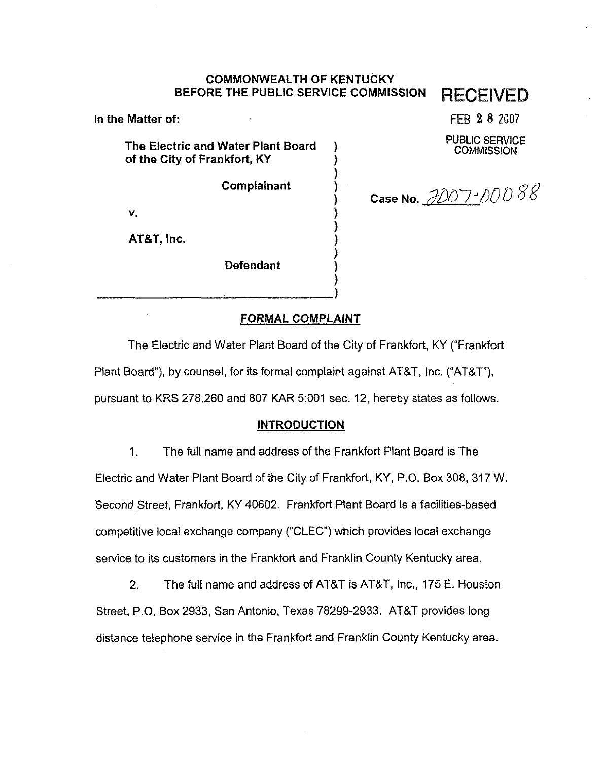# COMMONWEALTH OF KENTUCKY BEFORE THE PUBLIC SERVICE COMMISSION **RECEIVED**

) )

)

) ) ) )

) )

In the Matter of:

The Electric and Water Plant Board of the City of Frankfort, KY

**Complainant** 

۷.

AT&T, Inc.

Defendant

FEB 8 8 2007

PUBLIC SERVICE **COMMISSION** 

Case No. 3007-00088

# FORMAL COMPLAINT

The Electric and Water Plant Board of the City of Frankfort, KY ("Frankfort Plant Board"), by counsel, for its formal complaint against AT&T, Inc. ("AT&T"), pursuant to KRS 2?8.260 and 807 KAR 5:001 sec. 12, hereby states as follows.

#### INTRODUCTION

1. The full name and address of the Frankfort Plant Board is The Electric and Water Plant Board of the City of Frankfort, KY, P.O. Box 308, 317 W. Second Street, Frankfort, KY 40602. Frankfort Plant Board is a facilities-based competitive local exchange company ("CLEC") which provides local exchange service to its customers in the Frankfort and Franklin County Kentucky area.

2. The full name and address of ATBT is AT8T, Inc., 175 E. Houston Street, P.O. Box 2933, San Antonio, Texas 78299-2933. AT8T provides long distance telephone service in the Frankfort and Franklin County Kentucky area.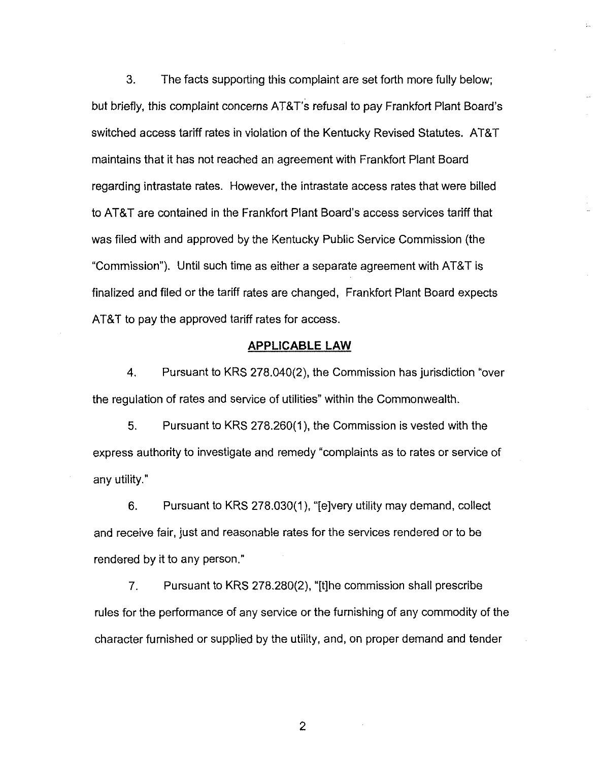3. The facts supporting this complaint are set forth more fully below; but briefly, this complaint concerns AT&T's refusal to pay Frankfort Plant Board's switched access tariff rates in violation of the Kentucky Revised Statutes. AT&T maintains that it has not reached an agreement with Frankfort Plant Board regarding intrastate rates. However, the intrastate access rates that were billed to AT&T are contained in the Frankfort Plant Board's access services tariff that was filed with and approved by the Kentucky Public Service Commission (the "Commission"). Until such time as either a separate agreement with AT&T is finalized and filed or the tariff rates are changed, Frankfort Plant Board expects AT&T to pay the approved tariff rates for access.

#### APPLICABLE LAW

4. Pursuant to KRS 278.040(2), the Commission has jurisdiction "over the regulation of rates and service of utilities" within the Commonwealth.

5. Pursuant to KRS 278.260(1), the Commission is vested with the express authority to investigate and remedy "complaints as to rates or service of any utility,"

6. Pursuant to KRS 278.030{1),"[e]very utility may demand, collect and receive fair, just and reasonable rates for the services rendered or to be rendered by it to any person,"

7. Pursuant to KRS 278.280(2), "[t]he commission shall prescribe rules for the performance of any service or the furnishing of any commodity of the character furnished or supplied by the utility, and, on proper demand and tender

 $\overline{2}$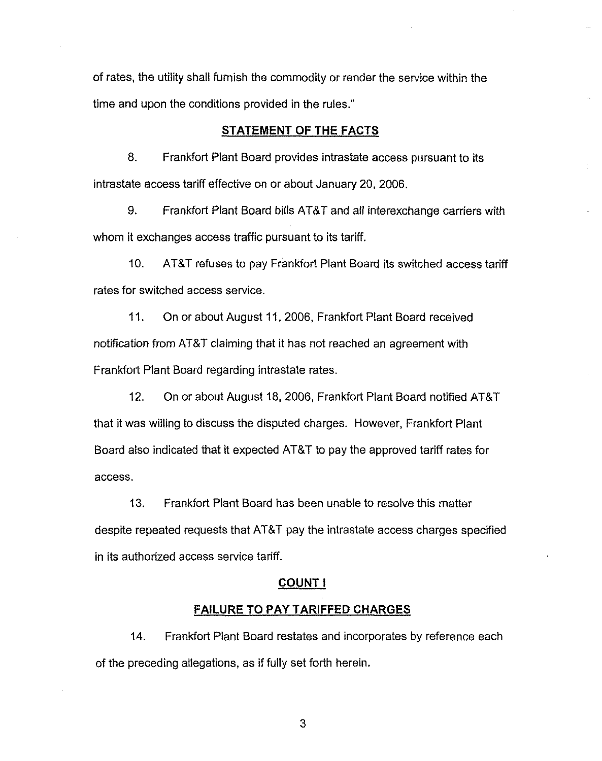of rates, the utility shall furnish the commodity or render the service within the time and upon the conditions provided in the rules."

# STATEMENT OF THE FACTS

8. Frankfort Plant Board provides intrastate access pursuant to its intrastate access tariff effective on or about January 20, 2006.

9. Frankfort Plant Board bills AT8T and all interexchange carriers with whom it exchanges access traffic pursuant to its tariff.

10. AT8T refuses to pay Frankfort Plant Board its switched access tariff rates for switched access service.

11. On or about August 11, 2006, Frankfort Plant Board received notification from AT8T claiming that it has not reached an agreement with Frankfort Plant Board regarding intrastate rates.

12. On or about August 18, 2006, Frankfort Plant Board notified AT8T that it was willing to discuss the disputed charges. However, Frankfort Plant Board also indicated that it expected AT8T to pay the approved tariff rates for access.

13. Frankfort Plant Board has been unable to resolve this matter despite repeated requests that AT8T pay the intrastate access charges specified in its authorized access service tariff.

#### COUNTI

#### FAILURE TO PAY TARIFFED CHARGES

14. Frankfort Plant Board restates and incorporates by reference each of the preceding allegations, as if fully set forth herein.

3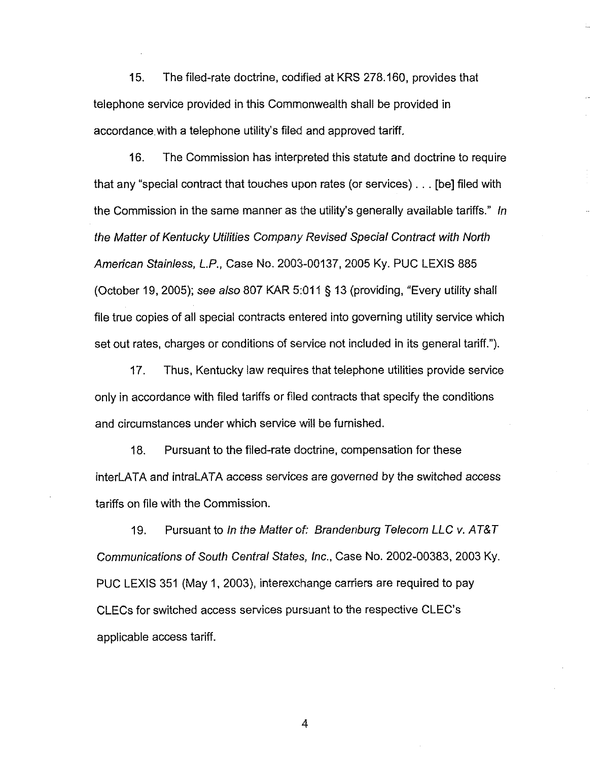15. The filed-rate doctrine, codified at KRS 278.160, provides that telephone service provided in this Commonwealth shall be provided in accordance with a telephone utility's filed and approved tariff.

16. The Commission has interpreted this statute and doctrine to require that any "special contract that touches upon rates (or services)... [be] filed with the Commission in the same manner as the utility's generally available tariffs." In the Matter of Kentucky Utilities Company Revised Special Contract with North American Stainiess, L.P., Case Wo. 2003-00137, 2005 Ky. PUC LEXIS 885 (October 19, 2005); see also 807 KAR 5:011 § 13 (providing, "Every utility shall file true copies of all special contracts entered into governing utility service which set out rates, charges or conditions of service not included in its general tariff.").

17. Thus, Kentucky law requires that telephone utilities provide service only in accordance with filed tariffs or filed contracts that specify the conditions and circumstances under which service wiII be furnished.

18. Pursuant to the filed-rate doctrine, compensation for these interLATA and intraLATA access services are governed by the switched access tariffs on file with the Commission.

19. Pursuant to In the Matter of: Brandenburg Telecom LLC v. AT&T Communications of South Central States, Inc., Case No. 2002-00383, 2003 Ky. PUC LEXIS 351 (May 1, 2003), interexchange carriers are required to pay CLECs for switched access services pursuant to the respective CLEC's applicable access tariff.

4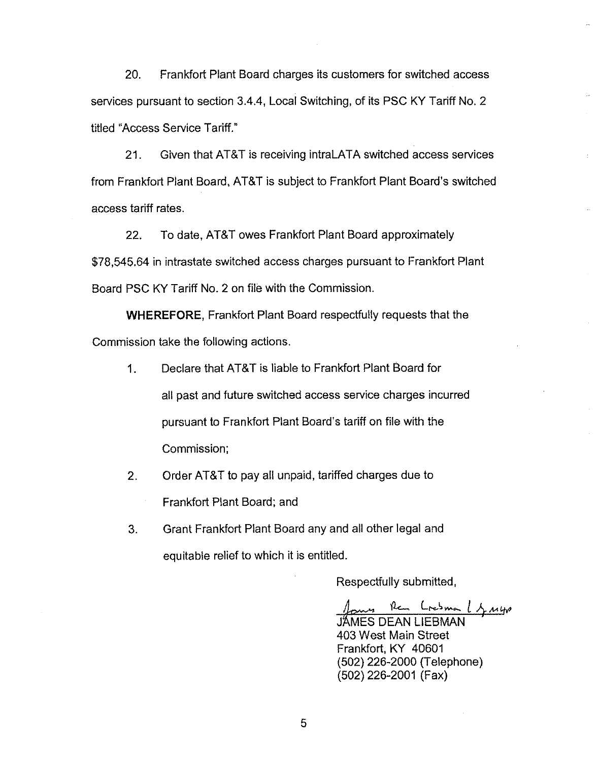20. Frankfort Plant Board charges its customers for switched access services pursuant to section 3.4.4, Locai Switching, of its PSC KY Tariff No. 2 titled "Access Service Tariff."

21. Given that AT&T is receiving intraLATA switched access services from Frankfort Plant Board, AT&T is subject to Frankfort Plant Board's switched access tariff rates.

22. To date, AT&T owes Frankfort Plant Board approximately \$78,545.64 in intrastate switched access charges pursuant to Frankfort Plant Board PSC KY Tariff No. 2 on file with the Commission.

WHEREFORE, Frankfort Plant Board respectfully requests that the Commission take the following actions.

- 1. Declare that AT&T is liable to Frankfort Plant Board for all past and future switched access service charges incurred pursuant to Frankfort Plant Board's tariff on file with the Commission;
- 2. Order AT&T to pay all unpaid, tariffed charges due to

Frankfort Plant Board; and

 $3.$ Grant Frankfort Plant Board any and all other legal and equitable relief to which it is entitled.

Respectfully submitted,

Per Loisma Lynup JAMES DEAN LIEBMAN 403 West Main Street Frankfort, KY 40601 (502) 226-2000 (Telephone) (502) 226-2001 (Fax)

5